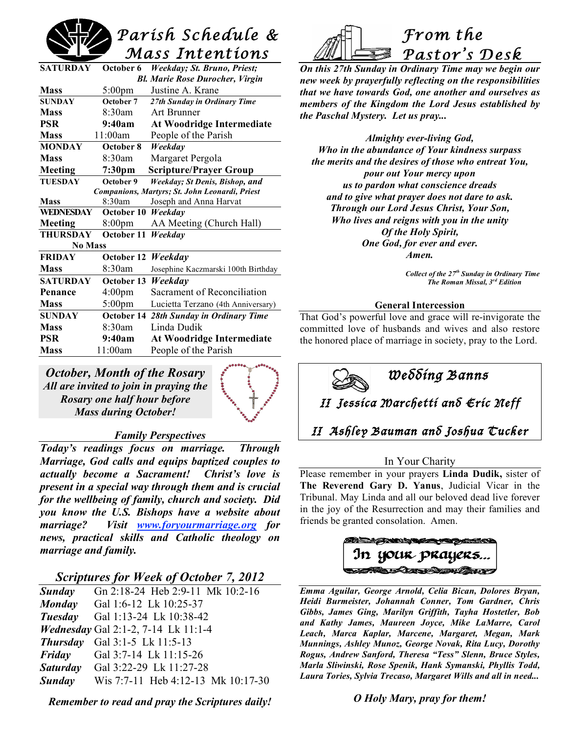# *Parish Schedule & Mass Intentions*

| SATURDAY                                       | October 6          | Weekday; St. Bruno, Priest;         |  |  |
|------------------------------------------------|--------------------|-------------------------------------|--|--|
| <b>Bl. Marie Rose Durocher, Virgin</b>         |                    |                                     |  |  |
| <b>Mass</b>                                    | $5:00 \text{pm}$   | Justine A. Krane                    |  |  |
| <b>SUNDAY</b>                                  | October 7          | 27th Sunday in Ordinary Time        |  |  |
| <b>Mass</b>                                    | 8:30am             | Art Brunner                         |  |  |
| <b>PSR</b>                                     | 9:40am             | <b>At Woodridge Intermediate</b>    |  |  |
| <b>Mass</b>                                    | 11:00am            | People of the Parish                |  |  |
| <b>MONDAY</b>                                  | October 8          | Weekday                             |  |  |
| <b>Mass</b>                                    | 8:30am             | Margaret Pergola                    |  |  |
| Meeting                                        | 7:30 <sub>pm</sub> | <b>Scripture/Prayer Group</b>       |  |  |
| <b>TUESDAY</b>                                 | October 9          | Weekday; St Denis, Bishop, and      |  |  |
| Companions, Martyrs; St. John Leonardi, Priest |                    |                                     |  |  |
| <b>Mass</b>                                    | 8:30am             | Joseph and Anna Harvat              |  |  |
| <b>WEDNESDAY</b>                               | October 10         | Weekdav                             |  |  |
| Meeting                                        | 8:00pm             | AA Meeting (Church Hall)            |  |  |
| <b>THURSDAY</b>                                | October 11         | Weekday                             |  |  |
| <b>No Mass</b>                                 |                    |                                     |  |  |
| <b>FRIDAY</b>                                  | October 12         | Weekday                             |  |  |
| <b>Mass</b>                                    | 8:30am             | Josephine Kaczmarski 100th Birthday |  |  |
| <b>SATURDAY</b>                                | October 13         | Weekday                             |  |  |
| Penance                                        | 4:00 <sub>pm</sub> | Sacrament of Reconciliation         |  |  |
| <b>Mass</b>                                    | $5:00$ pm          | Lucietta Terzano (4th Anniversary)  |  |  |
| <b>SUNDAY</b>                                  | October 14         | 28th Sunday in Ordinary Time        |  |  |
| <b>Mass</b>                                    | 8:30am             | Linda Dudik                         |  |  |
| <b>PSR</b>                                     | 9:40am             | <b>At Woodridge Intermediate</b>    |  |  |
| <b>Mass</b>                                    | 11:00am            | People of the Parish                |  |  |
|                                                |                    |                                     |  |  |

*October, Month of the Rosary All are invited to join in praying the Rosary one half hour before Mass during October!*



# *Family Perspectives*

*Today's readings focus on marriage. Through Marriage, God calls and equips baptized couples to actually become a Sacrament! Christ's love is present in a special way through them and is crucial for the wellbeing of family, church and society. Did you know the U.S. Bishops have a website about marriage? Visit www.foryourmarriage.org for news, practical skills and Catholic theology on marriage and family.*

# *Scriptures for Week of October 7, 2012*

| Sunday        | Gn 2:18-24 Heb 2:9-11 Mk 10:2-16           |
|---------------|--------------------------------------------|
| <b>Monday</b> | Gal 1:6-12 Lk 10:25-37                     |
| Tuesday       | Gal 1:13-24 Lk 10:38-42                    |
|               | <i>Wednesday</i> Gal 2:1-2, 7-14 Lk 11:1-4 |
|               | <b>Thursday</b> Gal 3:1-5 Lk 11:5-13       |
| Friday        | Gal 3:7-14 Lk 11:15-26                     |
|               | <b>Saturday</b> Gal 3:22-29 Lk 11:27-28    |
| <b>Sunday</b> | Wis 7:7-11 Heb 4:12-13 Mk 10:17-30         |
|               |                                            |

*Remember to read and pray the Scriptures daily!*



*On this 27th Sunday in Ordinary Time may we begin our new week by prayerfully reflecting on the responsibilities that we have towards God, one another and ourselves as members of the Kingdom the Lord Jesus established by the Paschal Mystery. Let us pray...*

*Almighty ever-living God, Who in the abundance of Your kindness surpass the merits and the desires of those who entreat You, pour out Your mercy upon us to pardon what conscience dreads and to give what prayer does not dare to ask. Through our Lord Jesus Christ, Your Son, Who lives and reigns with you in the unity Of the Holy Spirit, One God, for ever and ever. Amen.*

> *Collect of the 27th Sunday in Ordinary Time The Roman Missal, 3rd Edition*

#### **General Intercession**

That God's powerful love and grace will re-invigorate the committed love of husbands and wives and also restore the honored place of marriage in society, pray to the Lord.



#### In Your Charity

Please remember in your prayers **Linda Dudik,** sister of **The Reverend Gary D. Yanus**, Judicial Vicar in the Tribunal. May Linda and all our beloved dead live forever in the joy of the Resurrection and may their families and friends be granted consolation. Amen.

*Emma Aguilar, George Arnold, Celia Bican, Dolores Bryan, Heidi Burmeister, Johannah Conner, Tom Gardner, Chris Gibbs, James Ging, Marilyn Griffith, Tayha Hostetler, Bob and Kathy James, Maureen Joyce, Mike LaMarre, Carol Leach, Marca Kaplar, Marcene, Margaret, Megan, Mark Munnings, Ashley Munoz, George Novak, Rita Lucy, Dorothy Rogus, Andrew Sanford, Theresa "Tess" Slenn, Bruce Styles, Marla Sliwinski, Rose Spenik, Hank Symanski, Phyllis Todd, Laura Tories, Sylvia Trecaso, Margaret Wills and all in need...*

*O Holy Mary, pray for them!*